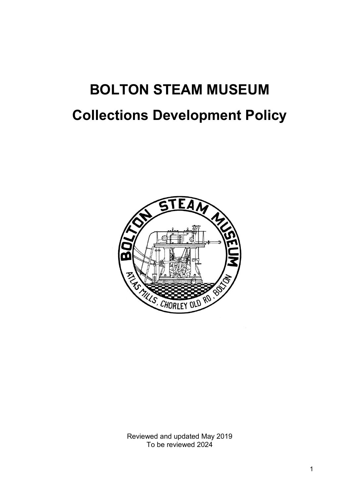# **BOLTON STEAM MUSEUM Collections Development Policy**



Reviewed and updated May 2019 To be reviewed 2024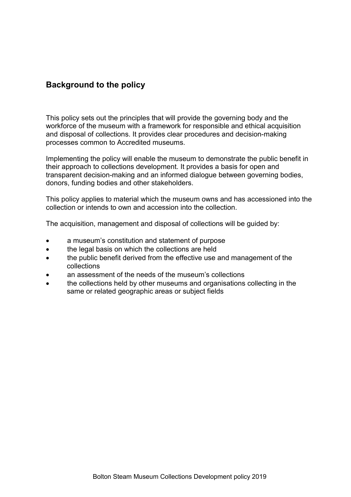# **Background to the policy**

This policy sets out the principles that will provide the governing body and the workforce of the museum with a framework for responsible and ethical acquisition and disposal of collections. It provides clear procedures and decision-making processes common to Accredited museums.

Implementing the policy will enable the museum to demonstrate the public benefit in their approach to collections development. It provides a basis for open and transparent decision-making and an informed dialogue between governing bodies, donors, funding bodies and other stakeholders.

This policy applies to material which the museum owns and has accessioned into the collection or intends to own and accession into the collection.

The acquisition, management and disposal of collections will be guided by:

- a museum's constitution and statement of purpose
- the legal basis on which the collections are held
- the public benefit derived from the effective use and management of the collections
- an assessment of the needs of the museum's collections
- the collections held by other museums and organisations collecting in the same or related geographic areas or subject fields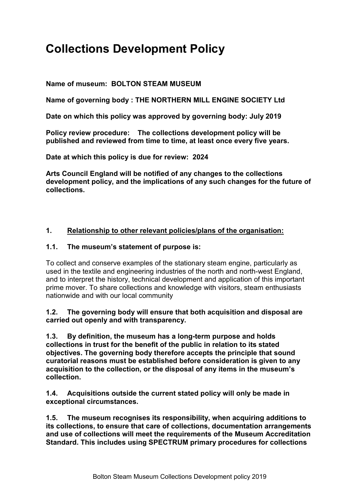# **Collections Development Policy**

# **Name of museum: BOLTON STEAM MUSEUM**

**Name of governing body : THE NORTHERN MILL ENGINE SOCIETY Ltd**

**Date on which this policy was approved by governing body: July 2019**

**Policy review procedure:****The collections development policy will be published and reviewed from time to time, at least once every five years.** 

**Date at which this policy is due for review: 2024**

**Arts Council England will be notified of any changes to the collections development policy, and the implications of any such changes for the future of collections.** 

# **1. Relationship to other relevant policies/plans of the organisation:**

#### **1.1. The museum's statement of purpose is:**

To collect and conserve examples of the stationary steam engine, particularly as used in the textile and engineering industries of the north and north-west England, and to interpret the history, technical development and application of this important prime mover. To share collections and knowledge with visitors, steam enthusiasts nationwide and with our local community

**1.2. The governing body will ensure that both acquisition and disposal are carried out openly and with transparency.**

**1.3. By definition, the museum has a long-term purpose and holds collections in trust for the benefit of the public in relation to its stated objectives. The governing body therefore accepts the principle that sound curatorial reasons must be established before consideration is given to any acquisition to the collection, or the disposal of any items in the museum's collection.**

**1.4. Acquisitions outside the current stated policy will only be made in exceptional circumstances.**

**1.5. The museum recognises its responsibility, when acquiring additions to its collections, to ensure that care of collections, documentation arrangements and use of collections will meet the requirements of the Museum Accreditation Standard. This includes using SPECTRUM primary procedures for collections**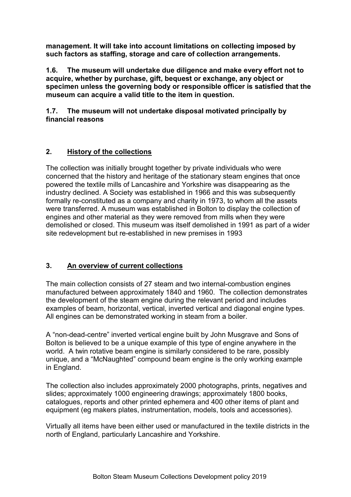**management. It will take into account limitations on collecting imposed by such factors as staffing, storage and care of collection arrangements.** 

**1.6. The museum will undertake due diligence and make every effort not to acquire, whether by purchase, gift, bequest or exchange, any object or specimen unless the governing body or responsible officer is satisfied that the museum can acquire a valid title to the item in question.**

**1.7. The museum will not undertake disposal motivated principally by financial reasons**

# **2. History of the collections**

The collection was initially brought together by private individuals who were concerned that the history and heritage of the stationary steam engines that once powered the textile mills of Lancashire and Yorkshire was disappearing as the industry declined. A Society was established in 1966 and this was subsequently formally re-constituted as a company and charity in 1973, to whom all the assets were transferred. A museum was established in Bolton to display the collection of engines and other material as they were removed from mills when they were demolished or closed. This museum was itself demolished in 1991 as part of a wider site redevelopment but re-established in new premises in 1993

# **3. An overview of current collections**

The main collection consists of 27 steam and two internal-combustion engines manufactured between approximately 1840 and 1960. The collection demonstrates the development of the steam engine during the relevant period and includes examples of beam, horizontal, vertical, inverted vertical and diagonal engine types. All engines can be demonstrated working in steam from a boiler.

A "non-dead-centre" inverted vertical engine built by John Musgrave and Sons of Bolton is believed to be a unique example of this type of engine anywhere in the world. A twin rotative beam engine is similarly considered to be rare, possibly unique, and a "McNaughted" compound beam engine is the only working example in England.

The collection also includes approximately 2000 photographs, prints, negatives and slides; approximately 1000 engineering drawings; approximately 1800 books, catalogues, reports and other printed ephemera and 400 other items of plant and equipment (eg makers plates, instrumentation, models, tools and accessories).

Virtually all items have been either used or manufactured in the textile districts in the north of England, particularly Lancashire and Yorkshire.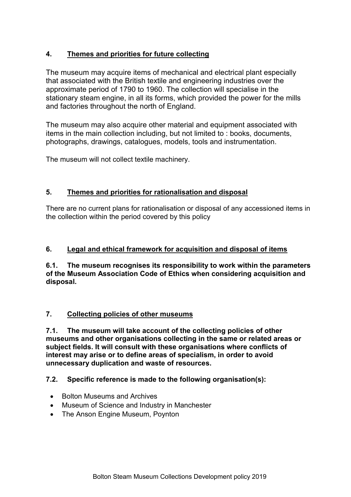# **4. Themes and priorities for future collecting**

The museum may acquire items of mechanical and electrical plant especially that associated with the British textile and engineering industries over the approximate period of 1790 to 1960. The collection will specialise in the stationary steam engine, in all its forms, which provided the power for the mills and factories throughout the north of England.

The museum may also acquire other material and equipment associated with items in the main collection including, but not limited to : books, documents, photographs, drawings, catalogues, models, tools and instrumentation.

The museum will not collect textile machinery.

# **5. Themes and priorities for rationalisation and disposal**

There are no current plans for rationalisation or disposal of any accessioned items in the collection within the period covered by this policy

# **6. Legal and ethical framework for acquisition and disposal of items**

**6.1. The museum recognises its responsibility to work within the parameters of the Museum Association Code of Ethics when considering acquisition and disposal.**

# **7. Collecting policies of other museums**

**7.1. The museum will take account of the collecting policies of other museums and other organisations collecting in the same or related areas or subject fields. It will consult with these organisations where conflicts of interest may arise or to define areas of specialism, in order to avoid unnecessary duplication and waste of resources.**

# **7.2. Specific reference is made to the following organisation(s):**

- Bolton Museums and Archives
- Museum of Science and Industry in Manchester
- The Anson Engine Museum, Poynton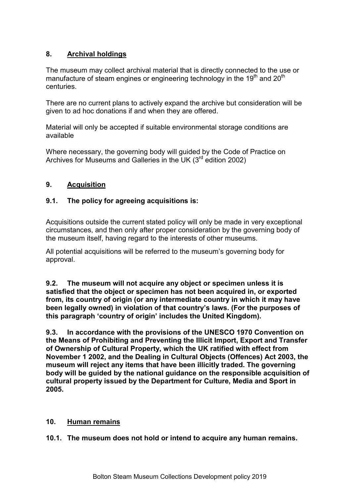# **8. Archival holdings**

The museum may collect archival material that is directly connected to the use or manufacture of steam engines or engineering technology in the 19<sup>th</sup> and 20<sup>th</sup> centuries.

There are no current plans to actively expand the archive but consideration will be given to ad hoc donations if and when they are offered.

Material will only be accepted if suitable environmental storage conditions are available

Where necessary, the governing body will guided by the Code of Practice on Archives for Museums and Galleries in the UK (3<sup>rd</sup> edition 2002)

# **9. Acquisition**

# **9.1. The policy for agreeing acquisitions is:**

Acquisitions outside the current stated policy will only be made in very exceptional circumstances, and then only after proper consideration by the governing body of the museum itself, having regard to the interests of other museums.

All potential acquisitions will be referred to the museum's governing body for approval.

**9.2. The museum will not acquire any object or specimen unless it is satisfied that the object or specimen has not been acquired in, or exported from, its country of origin (or any intermediate country in which it may have been legally owned) in violation of that country's laws. (For the purposes of this paragraph 'country of origin' includes the United Kingdom).**

**9.3. In accordance with the provisions of the UNESCO 1970 Convention on the Means of Prohibiting and Preventing the Illicit Import, Export and Transfer of Ownership of Cultural Property, which the UK ratified with effect from November 1 2002, and the Dealing in Cultural Objects (Offences) Act 2003, the museum will reject any items that have been illicitly traded. The governing body will be guided by the national guidance on the responsible acquisition of cultural property issued by the Department for Culture, Media and Sport in 2005.**

#### **10. Human remains**

**10.1. The museum does not hold or intend to acquire any human remains.**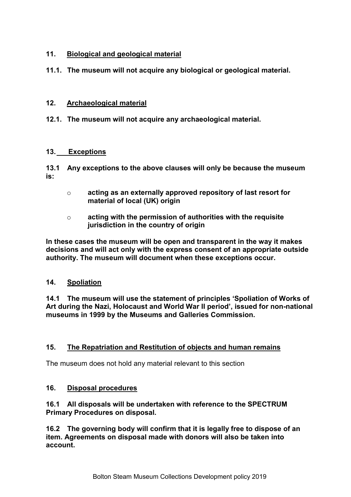# **11. Biological and geological material**

**11.1. The museum will not acquire any biological or geological material.**

#### **12. Archaeological material**

**12.1. The museum will not acquire any archaeological material.**

#### **13. Exceptions**

**13.1 Any exceptions to the above clauses will only be because the museum is:** 

- o **acting as an externally approved repository of last resort for material of local (UK) origin**
- o **acting with the permission of authorities with the requisite jurisdiction in the country of origin**

**In these cases the museum will be open and transparent in the way it makes decisions and will act only with the express consent of an appropriate outside authority. The museum will document when these exceptions occur.**

#### **14. Spoliation**

**14.1 The museum will use the statement of principles 'Spoliation of Works of Art during the Nazi, Holocaust and World War II period', issued for non-national museums in 1999 by the Museums and Galleries Commission.** 

# **15. The Repatriation and Restitution of objects and human remains**

The museum does not hold any material relevant to this section

#### **16. Disposal procedures**

#### **16.1 All disposals will be undertaken with reference to the SPECTRUM Primary Procedures on disposal.**

**16.2 The governing body will confirm that it is legally free to dispose of an item. Agreements on disposal made with donors will also be taken into account.**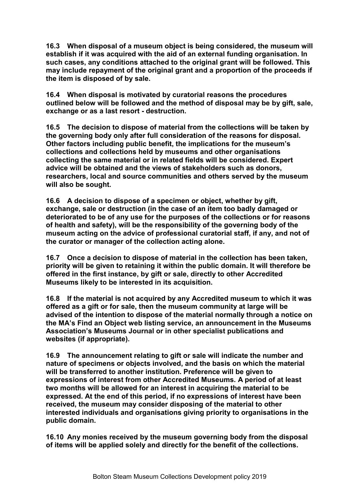**16.3 When disposal of a museum object is being considered, the museum will establish if it was acquired with the aid of an external funding organisation. In such cases, any conditions attached to the original grant will be followed. This may include repayment of the original grant and a proportion of the proceeds if the item is disposed of by sale.**

**16.4 When disposal is motivated by curatorial reasons the procedures outlined below will be followed and the method of disposal may be by gift, sale, exchange or as a last resort - destruction.**

**16.5 The decision to dispose of material from the collections will be taken by the governing body only after full consideration of the reasons for disposal. Other factors including public benefit, the implications for the museum's collections and collections held by museums and other organisations collecting the same material or in related fields will be considered. Expert advice will be obtained and the views of stakeholders such as donors, researchers, local and source communities and others served by the museum will also be sought.**

**16.6 A decision to dispose of a specimen or object, whether by gift, exchange, sale or destruction (in the case of an item too badly damaged or deteriorated to be of any use for the purposes of the collections or for reasons of health and safety), will be the responsibility of the governing body of the museum acting on the advice of professional curatorial staff, if any, and not of the curator or manager of the collection acting alone.**

**16.7 Once a decision to dispose of material in the collection has been taken, priority will be given to retaining it within the public domain. It will therefore be offered in the first instance, by gift or sale, directly to other Accredited Museums likely to be interested in its acquisition.**

**16.8 If the material is not acquired by any Accredited museum to which it was offered as a gift or for sale, then the museum community at large will be advised of the intention to dispose of the material normally through a notice on the MA's Find an Object web listing service, an announcement in the Museums Association's Museums Journal or in other specialist publications and websites (if appropriate).**

**16.9 The announcement relating to gift or sale will indicate the number and nature of specimens or objects involved, and the basis on which the material will be transferred to another institution. Preference will be given to expressions of interest from other Accredited Museums. A period of at least two months will be allowed for an interest in acquiring the material to be expressed. At the end of this period, if no expressions of interest have been received, the museum may consider disposing of the material to other interested individuals and organisations giving priority to organisations in the public domain.**

**16.10 Any monies received by the museum governing body from the disposal of items will be applied solely and directly for the benefit of the collections.**